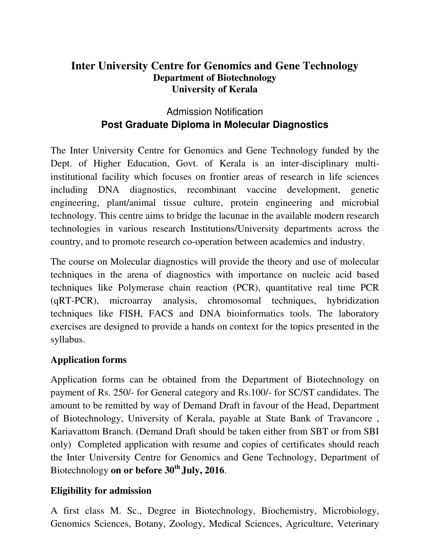## **Inter University Centre for Genomics and Gene Technology Department of Biotechnology University of Kerala**

# Admission Notification **Post Graduate Diploma in Molecular Diagnostics**

The Inter University Centre for Genomics and Gene Technology funded by the Dept. of Higher Education, Govt. of Kerala is an inter-disciplinary multiinstitutional facility which focuses on frontier areas of research in life sciences including DNA diagnostics, recombinant vaccine development, genetic engineering, plant/animal tissue culture, protein engineering and microbial technology. This centre aims to bridge the lacunae in the available modern research technologies in various research Institutions/University departments across the country, and to promote research co-operation between academics and industry.

The course on Molecular diagnostics will provide the theory and use of molecular techniques in the arena of diagnostics with importance on nucleic acid based techniques like Polymerase chain reaction (PCR), quantitative real time PCR (qRT-PCR), microarray analysis, chromosomal techniques, hybridization techniques like FISH, FACS and DNA bioinformatics tools. The laboratory exercises are designed to provide a hands on context for the topics presented in the syllabus.

### **Application forms**

Application forms can be obtained from the Department of Biotechnology on payment of Rs. 250/- for General category and Rs.100/- for SC/ST candidates. The amount to be remitted by way of Demand Draft in favour of the Head, Department of Biotechnology, University of Kerala, payable at State Bank of Travancore , Kariavattom Branch. (Demand Draft should be taken either from SBT or from SBI only) Completed application with resume and copies of certificates should reach the Inter University Centre for Genomics and Gene Technology, Department of Biotechnology **on or before 30th July, 2016**.

### **Eligibility for admission**

A first class M. Sc., Degree in Biotechnology, Biochemistry, Microbiology, Genomics Sciences, Botany, Zoology, Medical Sciences, Agriculture, Veterinary